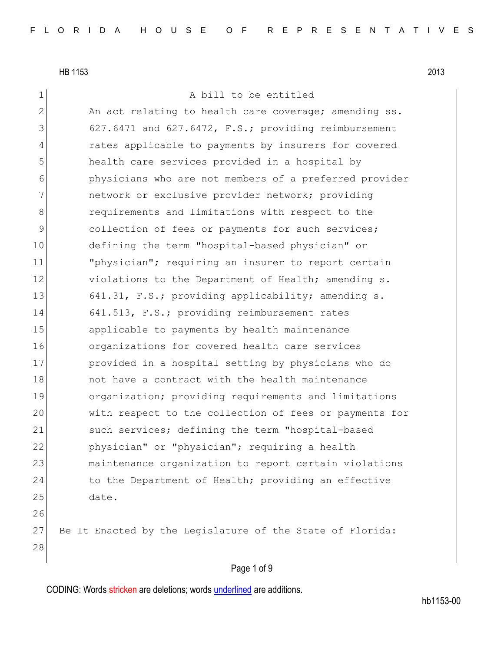28

1 a bill to be entitled

2 An act relating to health care coverage; amending ss. 3 627.6471 and 627.6472, F.S.; providing reimbursement 4 rates applicable to payments by insurers for covered 5 health care services provided in a hospital by 6 physicians who are not members of a preferred provider 7 1122 network or exclusive provider network; providing 8 8 8 8 requirements and limitations with respect to the 9 collection of fees or payments for such services; 10 defining the term "hospital-based physician" or 11 "physician"; requiring an insurer to report certain 12 violations to the Department of Health; amending s. 13 641.31, F.S.; providing applicability; amending s. 14 641.513, F.S.; providing reimbursement rates 15 applicable to payments by health maintenance 16 organizations for covered health care services 17 provided in a hospital setting by physicians who do 18 18 not have a contract with the health maintenance 19 organization; providing requirements and limitations 20 with respect to the collection of fees or payments for 21 such services; defining the term "hospital-based 22 physician" or "physician"; requiring a health 23 maintenance organization to report certain violations 24 to the Department of Health; providing an effective 25 date. 26 27 Be It Enacted by the Legislature of the State of Florida:

### Page 1 of 9

CODING: Words stricken are deletions; words underlined are additions.

hb1153-00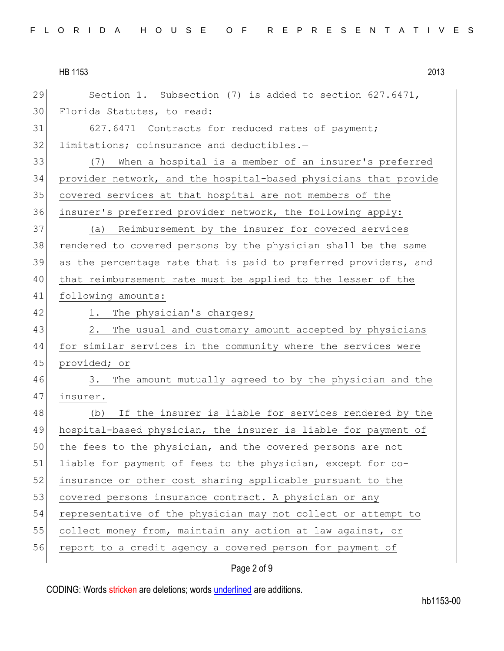29 Section 1. Subsection (7) is added to section 627.6471, Florida Statutes, to read: 31 627.6471 Contracts for reduced rates of payment; 32 limitations; coinsurance and deductibles.- (7) When a hospital is a member of an insurer's preferred provider network, and the hospital-based physicians that provide covered services at that hospital are not members of the insurer's preferred provider network, the following apply: (a) Reimbursement by the insurer for covered services rendered to covered persons by the physician shall be the same as the percentage rate that is paid to preferred providers, and that reimbursement rate must be applied to the lesser of the following amounts: 42 1. The physician's charges; 43 2. The usual and customary amount accepted by physicians for similar services in the community where the services were provided; or 3. The amount mutually agreed to by the physician and the 47 insurer. (b) If the insurer is liable for services rendered by the hospital-based physician, the insurer is liable for payment of 50 the fees to the physician, and the covered persons are not liable for payment of fees to the physician, except for co-52 insurance or other cost sharing applicable pursuant to the 53 covered persons insurance contract. A physician or any representative of the physician may not collect or attempt to 55 collect money from, maintain any action at law against, or 56 report to a credit agency a covered person for payment of

## Page 2 of 9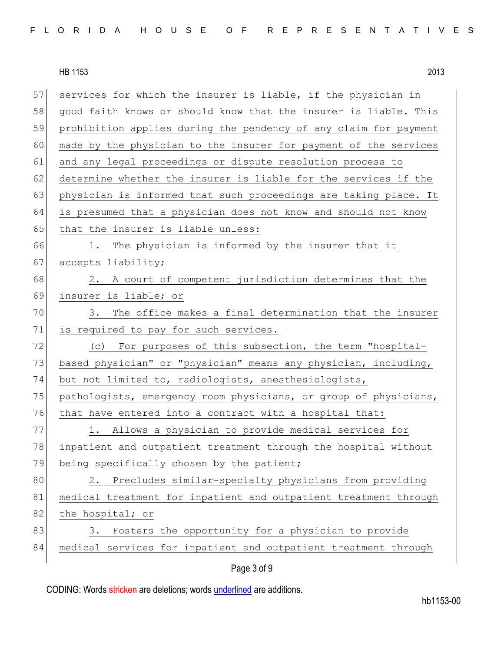| 57 | services for which the insurer is liable, if the physician in    |
|----|------------------------------------------------------------------|
| 58 | good faith knows or should know that the insurer is liable. This |
| 59 | prohibition applies during the pendency of any claim for payment |
| 60 | made by the physician to the insurer for payment of the services |
| 61 | and any legal proceedings or dispute resolution process to       |
| 62 | determine whether the insurer is liable for the services if the  |
| 63 | physician is informed that such proceedings are taking place. It |
| 64 | is presumed that a physician does not know and should not know   |
| 65 | that the insurer is liable unless:                               |
| 66 | 1. The physician is informed by the insurer that it              |
| 67 | accepts liability;                                               |
| 68 | 2. A court of competent jurisdiction determines that the         |
| 69 | insurer is liable; or                                            |
| 70 | The office makes a final determination that the insurer<br>3.    |
| 71 | is required to pay for such services.                            |
| 72 | (c) For purposes of this subsection, the term "hospital-         |
| 73 | based physician" or "physician" means any physician, including,  |
| 74 | but not limited to, radiologists, anesthesiologists,             |
| 75 | pathologists, emergency room physicians, or group of physicians, |
| 76 | that have entered into a contract with a hospital that:          |
| 77 | 1. Allows a physician to provide medical services for            |
| 78 | inpatient and outpatient treatment through the hospital without  |
| 79 | being specifically chosen by the patient;                        |
| 80 | Precludes similar-specialty physicians from providing<br>2.      |
| 81 | medical treatment for inpatient and outpatient treatment through |
| 82 | the hospital; or                                                 |
| 83 | Fosters the opportunity for a physician to provide<br>3.         |
| 84 | medical services for inpatient and outpatient treatment through  |
|    |                                                                  |

# Page 3 of 9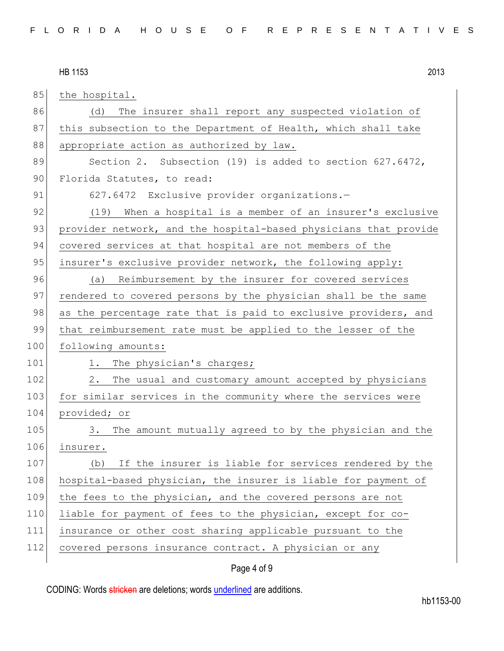| 85  | the hospital.                                                    |
|-----|------------------------------------------------------------------|
| 86  | The insurer shall report any suspected violation of<br>(d)       |
| 87  | this subsection to the Department of Health, which shall take    |
| 88  | appropriate action as authorized by law.                         |
| 89  | Section 2. Subsection (19) is added to section 627.6472,         |
| 90  | Florida Statutes, to read:                                       |
| 91  | 627.6472 Exclusive provider organizations.-                      |
| 92  | (19) When a hospital is a member of an insurer's exclusive       |
| 93  | provider network, and the hospital-based physicians that provide |
| 94  | covered services at that hospital are not members of the         |
| 95  | insurer's exclusive provider network, the following apply:       |
| 96  | (a) Reimbursement by the insurer for covered services            |
| 97  | rendered to covered persons by the physician shall be the same   |
| 98  | as the percentage rate that is paid to exclusive providers, and  |
| 99  | that reimbursement rate must be applied to the lesser of the     |
| 100 | following amounts:                                               |
| 101 | 1. The physician's charges;                                      |
| 102 | 2.<br>The usual and customary amount accepted by physicians      |
| 103 | for similar services in the community where the services were    |
| 104 | provided; or                                                     |
| 105 | The amount mutually agreed to by the physician and the<br>3.     |
| 106 | insurer.                                                         |
| 107 | If the insurer is liable for services rendered by the<br>(b)     |
| 108 | hospital-based physician, the insurer is liable for payment of   |
| 109 | the fees to the physician, and the covered persons are not       |
| 110 | liable for payment of fees to the physician, except for co-      |
| 111 | insurance or other cost sharing applicable pursuant to the       |
| 112 | covered persons insurance contract. A physician or any           |
|     |                                                                  |

# Page 4 of 9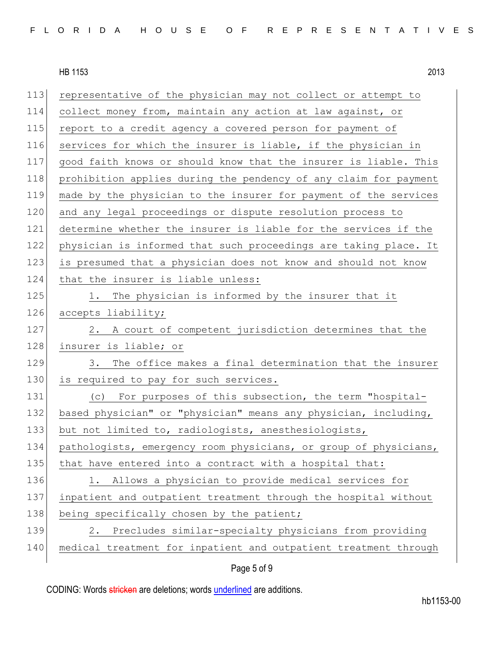113 representative of the physician may not collect or attempt to 114 collect money from, maintain any action at law against, or 115 report to a credit agency a covered person for payment of 116 services for which the insurer is liable, if the physician in 117 good faith knows or should know that the insurer is liable. This 118 prohibition applies during the pendency of any claim for payment 119 made by the physician to the insurer for payment of the services 120 and any legal proceedings or dispute resolution process to 121 determine whether the insurer is liable for the services if the 122 physician is informed that such proceedings are taking place. It 123 is presumed that a physician does not know and should not know 124 that the insurer is liable unless: 125 1. The physician is informed by the insurer that it 126 accepts liability; 127 2. A court of competent jurisdiction determines that the 128 insurer is liable; or 129 3. The office makes a final determination that the insurer 130 is required to pay for such services. 131 (c) For purposes of this subsection, the term "hospital-132 based physician" or "physician" means any physician, including, 133 but not limited to, radiologists, anesthesiologists, 134 pathologists, emergency room physicians, or group of physicians, 135 that have entered into a contract with a hospital that: 136 1. Allows a physician to provide medical services for 137 inpatient and outpatient treatment through the hospital without 138 being specifically chosen by the patient; 139 2. Precludes similar-specialty physicians from providing 140 medical treatment for inpatient and outpatient treatment through

## Page 5 of 9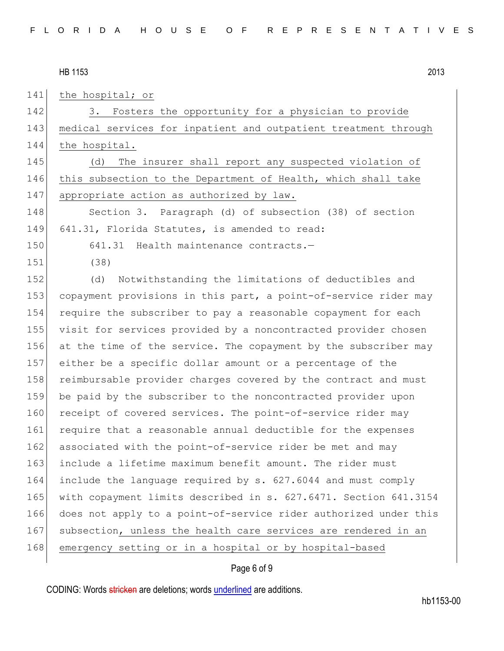141 the hospital; or 142 3. Fosters the opportunity for a physician to provide 143 medical services for inpatient and outpatient treatment through 144 the hospital. 145 (d) The insurer shall report any suspected violation of 146 this subsection to the Department of Health, which shall take 147 appropriate action as authorized by law. 148 Section 3. Paragraph (d) of subsection (38) of section 149 641.31, Florida Statutes, is amended to read: 150 641.31 Health maintenance contracts.— 151 (38) 152 (d) Notwithstanding the limitations of deductibles and 153 copayment provisions in this part, a point-of-service rider may 154 require the subscriber to pay a reasonable copayment for each 155 visit for services provided by a noncontracted provider chosen 156 at the time of the service. The copayment by the subscriber may 157 either be a specific dollar amount or a percentage of the 158 reimbursable provider charges covered by the contract and must 159 be paid by the subscriber to the noncontracted provider upon 160 receipt of covered services. The point-of-service rider may 161 require that a reasonable annual deductible for the expenses 162 associated with the point-of-service rider be met and may 163 include a lifetime maximum benefit amount. The rider must 164 include the language required by s. 627.6044 and must comply 165 with copayment limits described in s. 627.6471. Section 641.3154 166 does not apply to a point-of-service rider authorized under this 167 subsection, unless the health care services are rendered in an 168 emergency setting or in a hospital or by hospital-based

### Page 6 of 9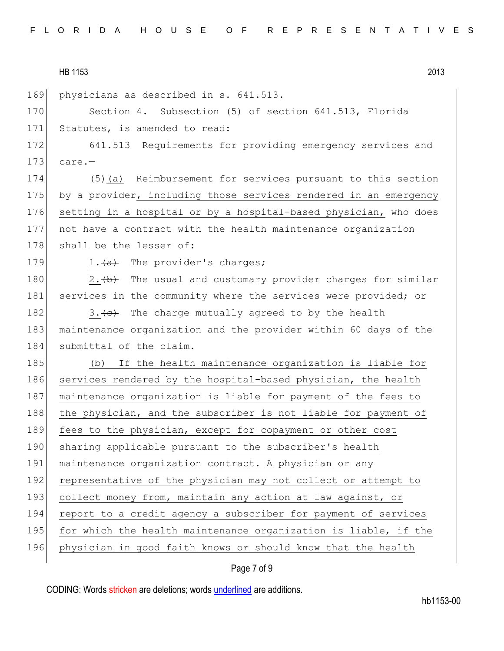| HB 1153 | 2013 |
|---------|------|
|         |      |

|  | 169 physicians as described in s. 641.513. |  |  |  |  |  |
|--|--------------------------------------------|--|--|--|--|--|
|--|--------------------------------------------|--|--|--|--|--|

170 Section 4. Subsection (5) of section 641.513, Florida 171 Statutes, is amended to read:

172 641.513 Requirements for providing emergency services and  $173$  care.-

174 (5)(a) Reimbursement for services pursuant to this section 175 by a provider, including those services rendered in an emergency 176 setting in a hospital or by a hospital-based physician, who does 177 not have a contract with the health maintenance organization 178 shall be the lesser of:

179  $1. \overline{a}$  The provider's charges;

180 2.  $\leftarrow$  2. The usual and customary provider charges for similar 181 services in the community where the services were provided; or

182 3.  $\leftarrow$  The charge mutually agreed to by the health 183 maintenance organization and the provider within 60 days of the 184 submittal of the claim.

185 (b) If the health maintenance organization is liable for 186 services rendered by the hospital-based physician, the health 187 maintenance organization is liable for payment of the fees to 188 the physician, and the subscriber is not liable for payment of 189 fees to the physician, except for copayment or other cost 190 sharing applicable pursuant to the subscriber's health 191 maintenance organization contract. A physician or any 192 representative of the physician may not collect or attempt to 193 collect money from, maintain any action at law against, or 194 report to a credit agency a subscriber for payment of services 195 for which the health maintenance organization is liable, if the 196 physician in good faith knows or should know that the health

Page 7 of 9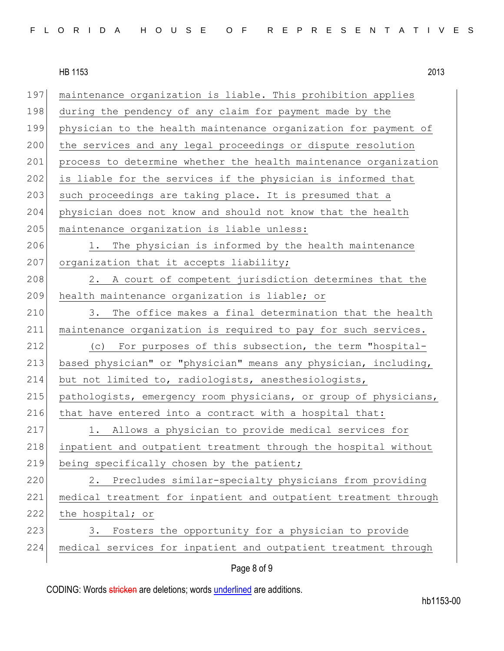197 maintenance organization is liable. This prohibition applies 198 during the pendency of any claim for payment made by the 199 physician to the health maintenance organization for payment of 200 the services and any legal proceedings or dispute resolution 201 process to determine whether the health maintenance organization 202 is liable for the services if the physician is informed that 203 such proceedings are taking place. It is presumed that a 204 physician does not know and should not know that the health 205 maintenance organization is liable unless: 206 1. The physician is informed by the health maintenance 207 organization that it accepts liability; 208 2. A court of competent jurisdiction determines that the 209 health maintenance organization is liable; or 210 3. The office makes a final determination that the health 211 maintenance organization is required to pay for such services. 212 (c) For purposes of this subsection, the term "hospital-213 based physician" or "physician" means any physician, including, 214 but not limited to, radiologists, anesthesiologists, 215 pathologists, emergency room physicians, or group of physicians, 216 that have entered into a contract with a hospital that: 217 1. Allows a physician to provide medical services for 218 inpatient and outpatient treatment through the hospital without 219 being specifically chosen by the patient; 220 2. Precludes similar-specialty physicians from providing 221 medical treatment for inpatient and outpatient treatment through 222 the hospital; or 223 3. Fosters the opportunity for a physician to provide 224 medical services for inpatient and outpatient treatment through

### Page 8 of 9